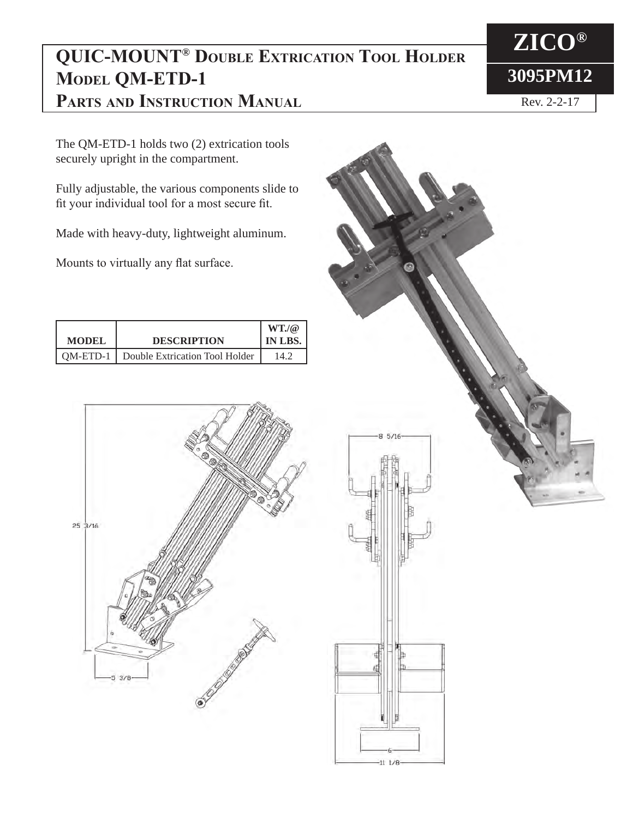## **QUIC-MOUNT® Double Extrication Tool Holder MODEL QM-ETD-1 Parts and Instruction Manual**

The QM-ETD-1 holds two (2) extrication tools securely upright in the compartment.

Fully adjustable, the various components slide to fit your individual tool for a most secure fit.

Made with heavy-duty, lightweight aluminum.

Mounts to virtually any flat surface.

| <b>MODEL</b> | <b>DESCRIPTION</b>                        | $WT_{\alpha}(\mathcal{Q})$<br>IN LBS. |
|--------------|-------------------------------------------|---------------------------------------|
|              | OM-ETD-1   Double Extrication Tool Holder | 14.2                                  |





**ZICO® 3095PM12**

Rev. 2-2-17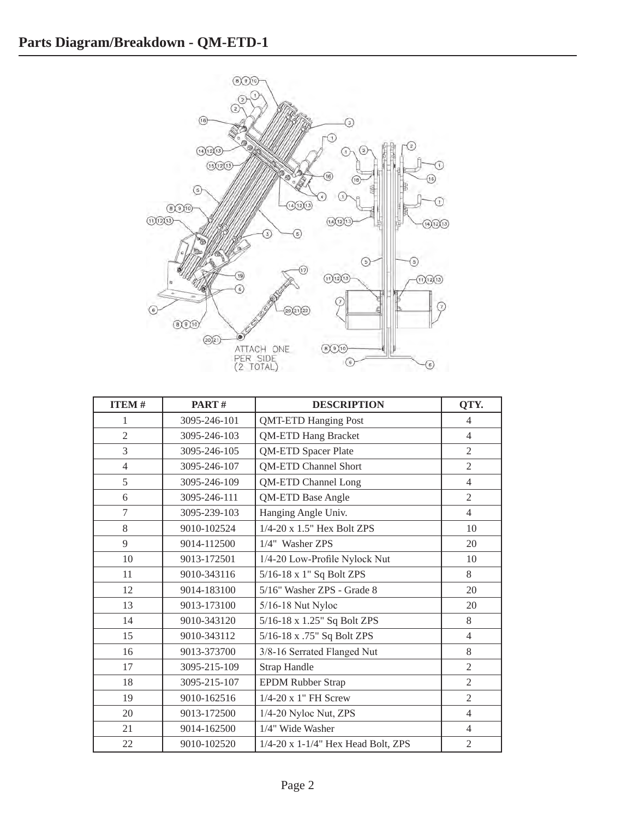

| <b>ITEM#</b>   | PART#        | <b>DESCRIPTION</b>                       | QTY.           |
|----------------|--------------|------------------------------------------|----------------|
| 1              | 3095-246-101 | <b>QMT-ETD Hanging Post</b>              | $\overline{4}$ |
| $\overline{2}$ | 3095-246-103 | <b>QM-ETD Hang Bracket</b>               | $\overline{4}$ |
| 3              | 3095-246-105 | QM-ETD Spacer Plate                      | $\overline{2}$ |
| $\overline{4}$ | 3095-246-107 | <b>QM-ETD Channel Short</b>              | $\mathfrak{2}$ |
| 5              | 3095-246-109 | <b>QM-ETD Channel Long</b>               | $\overline{4}$ |
| 6              | 3095-246-111 | <b>QM-ETD Base Angle</b>                 | $\overline{2}$ |
| 7              | 3095-239-103 | Hanging Angle Univ.                      | $\overline{4}$ |
| 8              | 9010-102524  | 1/4-20 x 1.5" Hex Bolt ZPS               | 10             |
| 9              | 9014-112500  | 1/4" Washer ZPS                          | 20             |
| 10             | 9013-172501  | 1/4-20 Low-Profile Nylock Nut            | 10             |
| 11             | 9010-343116  | 5/16-18 x 1" Sq Bolt ZPS                 | 8              |
| 12             | 9014-183100  | 5/16" Washer ZPS - Grade 8               | 20             |
| 13             | 9013-173100  | 5/16-18 Nut Nyloc                        | 20             |
| 14             | 9010-343120  | 5/16-18 x 1.25" Sq Bolt ZPS              | 8              |
| 15             | 9010-343112  | 5/16-18 x .75" Sq Bolt ZPS               | $\overline{4}$ |
| 16             | 9013-373700  | 3/8-16 Serrated Flanged Nut              | 8              |
| 17             | 3095-215-109 | <b>Strap Handle</b>                      | $\mathfrak{2}$ |
| 18             | 3095-215-107 | <b>EPDM Rubber Strap</b>                 | $\overline{2}$ |
| 19             | 9010-162516  | 1/4-20 x 1" FH Screw                     | $\overline{2}$ |
| 20             | 9013-172500  | 1/4-20 Nyloc Nut, ZPS                    | $\overline{4}$ |
| 21             | 9014-162500  | 1/4" Wide Washer                         | $\overline{4}$ |
| 22             | 9010-102520  | $1/4$ -20 x $1-1/4$ " Hex Head Bolt, ZPS | $\overline{2}$ |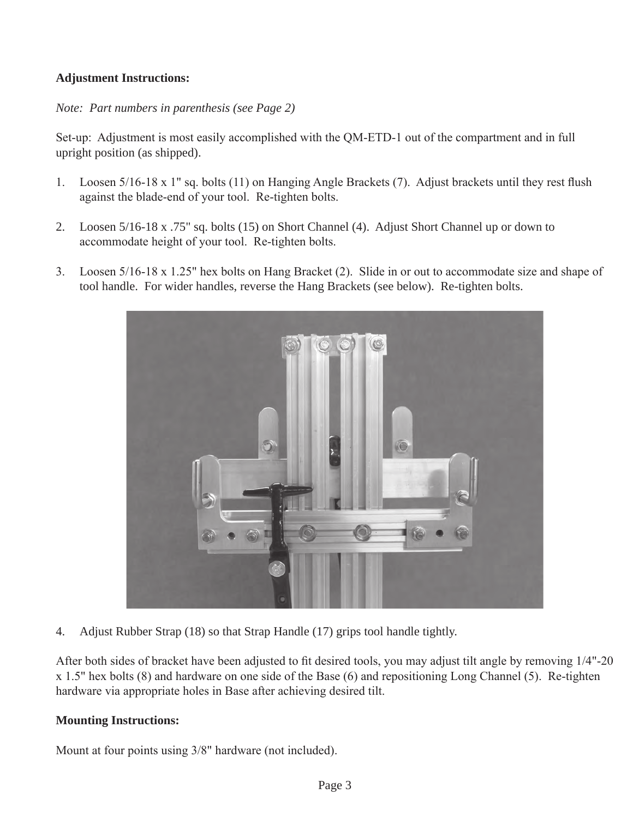## **Adjustment Instructions:**

*Note: Part numbers in parenthesis (see Page 2)*

Set-up: Adjustment is most easily accomplished with the QM-ETD-1 out of the compartment and in full upright position (as shipped).

- 1. Loosen 5/16-18 x 1" sq. bolts (11) on Hanging Angle Brackets (7). Adjust brackets until they rest flush against the blade-end of your tool. Re-tighten bolts.
- 2. Loosen 5/16-18 x .75" sq. bolts (15) on Short Channel (4). Adjust Short Channel up or down to accommodate height of your tool. Re-tighten bolts.
- 3. Loosen 5/16-18 x 1.25" hex bolts on Hang Bracket (2). Slide in or out to accommodate size and shape of tool handle. For wider handles, reverse the Hang Brackets (see below). Re-tighten bolts.



4. Adjust Rubber Strap (18) so that Strap Handle (17) grips tool handle tightly.

After both sides of bracket have been adjusted to fit desired tools, you may adjust tilt angle by removing 1/4"-20 x 1.5" hex bolts (8) and hardware on one side of the Base (6) and repositioning Long Channel (5). Re-tighten hardware via appropriate holes in Base after achieving desired tilt.

## **Mounting Instructions:**

Mount at four points using 3/8" hardware (not included).